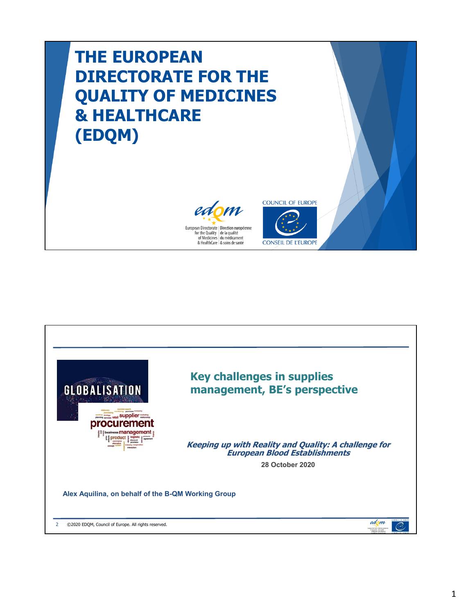## **THE EUROPEAN DIRECTORATE FOR THE QUALITY OF MEDICINES & HEALTHCARE (EDQM)**





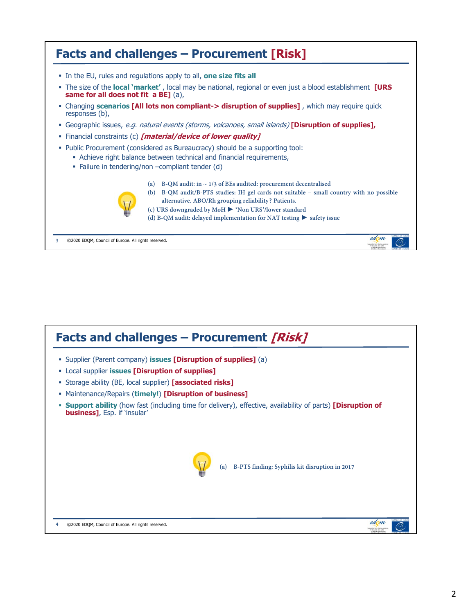

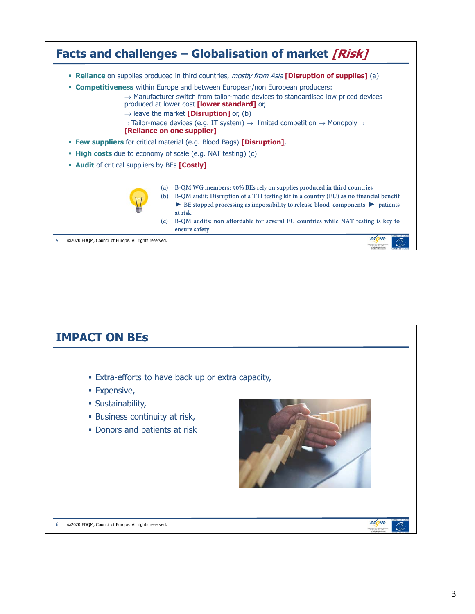

| <b>IMPACT ON BES</b>                                                                                                                                            |      |
|-----------------------------------------------------------------------------------------------------------------------------------------------------------------|------|
| . Extra-efforts to have back up or extra capacity,<br><b>Expensive,</b><br>· Sustainability,<br>• Business continuity at risk,<br>• Donors and patients at risk |      |
| @2020 EDQM, Council of Europe. All rights reserved.<br>6                                                                                                        | edom |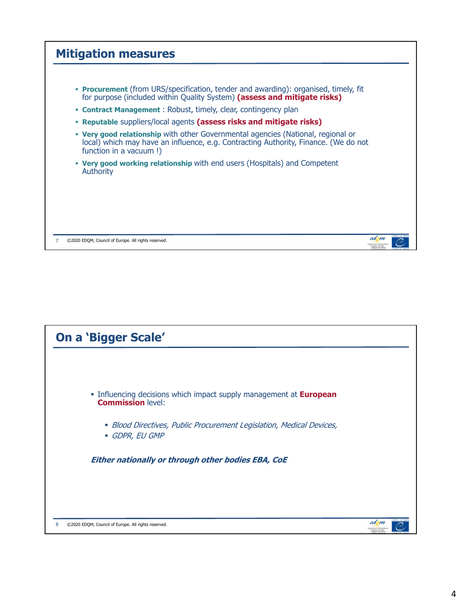